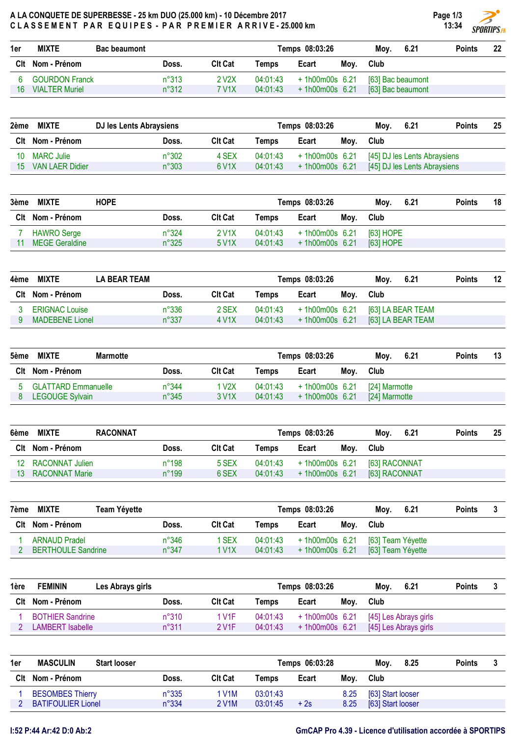## A LA CONQUETE DE SUPERBESSE - 25 km DUO (25.000 km) - 10 Décembre 2017 CLASSEMENT PAR EQUIPES - PAR PREMIER ARRIVE-25.000 km

| <b>Points</b> | 22 |
|---------------|----|
|               |    |
|               |    |
|               |    |
|               |    |
|               |    |

| 2ème | <b>MIXTE</b>     | DJ les Lents Abraysiens |                    |          | Temps 08:03:26   |      | Mov. | 6.21                         | <b>Points</b> | 25 |
|------|------------------|-------------------------|--------------------|----------|------------------|------|------|------------------------------|---------------|----|
|      | Clt Nom - Prénom | Doss.                   | <b>Clt Cat</b>     | Temps    | Ecart            | Moy. | Club |                              |               |    |
| 10   | MARC Julie       | n°302                   | 4 SEX              | 04:01:43 | $+1h00m00s$ 6.21 |      |      | [45] DJ les Lents Abraysiens |               |    |
| 15.  | VAN LAER Didier  | $n^{\circ}303$          | 6 V <sub>1</sub> X | 04:01:43 | $+1h00m00s$ 6.21 |      |      | [45] DJ les Lents Abraysiens |               |    |

| 3ème | <b>MIXTE</b>          | <b>HOPE</b> |                | Temps 08:03:26 |          |                  |      |           |  | <b>Points</b> | 18 |
|------|-----------------------|-------------|----------------|----------------|----------|------------------|------|-----------|--|---------------|----|
|      | Clt Nom - Prénom      |             | Doss.          | <b>Clt Cat</b> | Temps    | Ecart            | Moy. | Club      |  |               |    |
|      | <b>HAWRO</b> Serge    |             | n°324          | 2 V1X          | 04:01:43 | +1h00m00s 6.21   |      | 1631 HOPE |  |               |    |
|      | <b>MEGE Geraldine</b> |             | $n^{\circ}325$ | 5 V1X          | 04:01:43 | $+1h00m00s$ 6.21 |      | [63] HOPE |  |               |    |

| 4ème | <b>MIXTE</b>           | <b>LA BEAR TEAM</b> |       |                |          | Temps 08:03:26   |      | Mov.              | 6.21 | <b>Points</b> | 12 |
|------|------------------------|---------------------|-------|----------------|----------|------------------|------|-------------------|------|---------------|----|
|      | Clt Nom - Prénom       |                     | Doss. | <b>Clt Cat</b> | Temps    | Ecart            | Mov. | Club              |      |               |    |
|      | <b>ERIGNAC Louise</b>  |                     | n°336 | 2 SEX          | 04:01:43 | $+1h00m00s$ 6.21 |      | [63] LA BEAR TEAM |      |               |    |
|      | <b>MADEBENE Lionel</b> |                     | n°337 | 4 V1X          | 04:01:43 | $+1h00m00s$ 6.21 |      | [63] LA BEAR TEAM |      |               |    |

| 5ème | <b>MIXTE</b><br><b>Marmotte</b> |                |                    | Temps 08:03:26 |                  | 6.21<br>Mov. | <b>Points</b> | 13 |  |
|------|---------------------------------|----------------|--------------------|----------------|------------------|--------------|---------------|----|--|
|      | Clt Nom - Prénom                | Doss.          | <b>Clt Cat</b>     | Temps          | Ecart            | Moy.         | Club          |    |  |
|      | <b>GLATTARD Emmanuelle</b>      | $n^{\circ}344$ | 1 V2X              | 04:01:43       | $+1h00m00s$ 6.21 |              | [24] Marmotte |    |  |
|      | <b>LEGOUGE Sylvain</b>          | $n^{\circ}345$ | 3 V <sub>1</sub> X | 04:01:43       | $+1h00m00s$ 6.21 |              | [24] Marmotte |    |  |

| 6ème | <b>MIXTE</b>          | <b>RACONNAT</b> |                |          | Temps 08:03:26   |      | 6.21<br>Mov.  | <b>Points</b> | 25 |
|------|-----------------------|-----------------|----------------|----------|------------------|------|---------------|---------------|----|
|      | Clt Nom - Prénom      | Doss.           | <b>Clt Cat</b> | Temps    | Ecart            | Moy. | Club          |               |    |
| 12.  | RACONNAT Julien       | $n^{\circ}$ 198 | 5 SEX          | 04:01:43 | $+1h00m00s$ 6.21 |      | [63] RACONNAT |               |    |
| 13   | <b>RACONNAT Marie</b> | $n^{\circ}199$  | 6 SEX          | 04:01:43 | $+1h00m00s$ 6.21 |      | [63] RACONNAT |               |    |

| 7ème | <b>MIXTE</b>              | Team Yéyette   |                |          | Temps 08:03:26   |      | Mov.              | 6.21 | <b>Points</b> |  |
|------|---------------------------|----------------|----------------|----------|------------------|------|-------------------|------|---------------|--|
| Clt  | Nom - Prénom              | Doss.          | <b>Clt Cat</b> | Temps    | Ecart            | Moy. | Club              |      |               |  |
|      | <b>ARNAUD Pradel</b>      | $n^{\circ}346$ | I SEX          | 04:01:43 | $+1h00m00s$ 6.21 |      | [63] Team Yéyette |      |               |  |
|      | <b>BERTHOULE Sandrine</b> | $n^{\circ}347$ | 1 V1X          | 04:01:43 | $+1h00m00s$ 6.21 |      | [63] Team Yéyette |      |               |  |

| 1ère | <b>FEMININ</b>          | Les Abrays girls |                |                    |          | Temps 08:03:26   |      | Mov. | 6.21                  | <b>Points</b> |  |
|------|-------------------------|------------------|----------------|--------------------|----------|------------------|------|------|-----------------------|---------------|--|
| Clt  | Nom - Prénom            |                  | Doss.          | <b>Clt Cat</b>     | Temps    | Ecart            | Moy. | Club |                       |               |  |
|      | <b>BOTHIER Sandrine</b> |                  | $n^{\circ}310$ | 1 V1F              | 04:01:43 | $+1h00m00s$ 6.21 |      |      | [45] Les Abrays girls |               |  |
|      | LAMBERT Isabelle        |                  | $n^{\circ}311$ | 2 V <sub>1</sub> F | 04:01:43 | $+1h00m00s$ 6.21 |      |      | [45] Les Abrays girls |               |  |

| 1er | <b>MASCULIN</b><br><b>Start looser</b> |                | Temps 06:03:28     |          |       |      | 8.25<br>Mov.      | <b>Points</b> |  |
|-----|----------------------------------------|----------------|--------------------|----------|-------|------|-------------------|---------------|--|
| Clt | Nom - Prénom                           | Doss.          | <b>CIt Cat</b>     | Temps    | Ecart | Moy. | Club              |               |  |
|     | <b>BESOMBES Thierry</b>                | $n^{\circ}335$ | 1 V1M              | 03:01:43 |       | 8.25 | [63] Start looser |               |  |
|     | <b>BATIFOULIER Lionel</b>              | n°334          | 2 V <sub>1</sub> M | 03:01:45 | $+2s$ | 8.25 | [63] Start looser |               |  |

Page 1/3 13:34

**SPORTIPS.FR**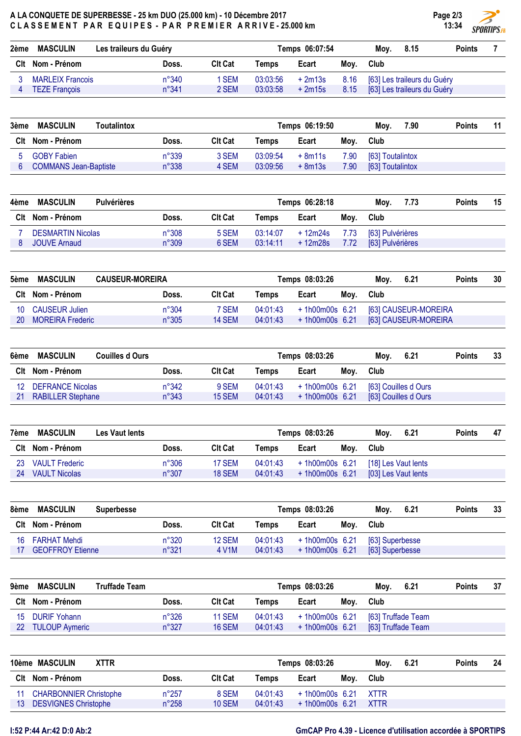## A LA CONQUETE DE SUPERBESSE - 25 km DUO (25.000 km) - 10 Décembre 2017 CLASSEMENT PAR EQUIPES - PAR PREMIER ARRIVE-25.000 km

| 2ème | <b>MASCULIN</b>         | Les traileurs du Guéry |                | Temps 06:07:54 |          |      | Mov. | 8.15                             | <b>Points</b> |  |
|------|-------------------------|------------------------|----------------|----------------|----------|------|------|----------------------------------|---------------|--|
|      | Clt Nom - Prénom        | Doss.                  | <b>Clt Cat</b> | Temps          | Ecart    | Moy. | Club |                                  |               |  |
|      | <b>MARLEIX Francois</b> | $n^{\circ}340$         | <b>SEM</b>     | 03:03:56       | $+2m13s$ |      |      | 8.16 [63] Les traileurs du Guéry |               |  |
|      | <b>TEZE Francois</b>    | $n^{\circ}341$         | 2 SEM          | 03:03:58       | $+2m15s$ |      |      | 8.15 [63] Les traileurs du Guéry |               |  |

| 3ème | <b>MASCULIN</b><br>Toutalintox |       |                |          | Temps 06:19:50 |      | 7.90<br>Mov.     | <b>Points</b> | 11 |
|------|--------------------------------|-------|----------------|----------|----------------|------|------------------|---------------|----|
|      | Clt Nom - Prénom               | Doss. | <b>Clt Cat</b> | Temps    | Ecart          | Moy. | Club             |               |    |
|      | <b>GOBY Fabien</b>             | n°339 | 3 SEM          | 03:09:54 | $+8m11s$       | 7.90 | [63] Toutalintox |               |    |
|      | <b>COMMANS Jean-Baptiste</b>   | n°338 | 4 SEM          | 03:09:56 | $+8m13s$       | 7.90 | [63] Toutalintox |               |    |

| 4ème | <b>MASCULIN</b><br><b>Pulvérières</b> |                |                |          | Temps 06:28:18 |      | 7.73<br>Mov.     | <b>Points</b> | 15 |
|------|---------------------------------------|----------------|----------------|----------|----------------|------|------------------|---------------|----|
|      | Clt Nom - Prénom                      | Doss.          | <b>Clt Cat</b> | Temps    | Ecart          | Moy. | Club             |               |    |
|      | <b>DESMARTIN Nicolas</b>              | $n^{\circ}308$ | 5 SEM          | 03:14:07 | + 12m24s       | 7.73 | [63] Pulvérières |               |    |
|      | <b>JOUVE Arnaud</b>                   | $n^{\circ}309$ | 6 SEM          | 03:14:11 | + 12m28s       | 7.72 | [63] Pulvérières |               |    |

| 5ème | <b>MASCULIN</b>         | <b>CAUSEUR-MOREIRA</b> |                | Temps 08:03:26 |                  |      |      | 6.21                 | <b>Points</b> | 30 |
|------|-------------------------|------------------------|----------------|----------------|------------------|------|------|----------------------|---------------|----|
|      | Clt Nom - Prénom        | Doss.                  | <b>Clt Cat</b> | Temps          | Ecart            | Moy. | Club |                      |               |    |
| 10.  | <b>CAUSEUR Julien</b>   | $n^{\circ}304$         | 7 SEM          | 04:01:43       | +1h00m00s 6.21   |      |      | [63] CAUSEUR-MOREIRA |               |    |
| 20   | <b>MOREIRA Frederic</b> | $n^{\circ}305$         | 14 SEM         | 04:01:43       | $+1h00m00s$ 6.21 |      |      | [63] CAUSEUR-MOREIRA |               |    |

| 6ème | <b>MASCULIN</b>          | <b>Couilles d Ours</b> | Temps 08:03:26 |          |                  |      |      | 6.21                 | <b>Points</b> | 33 |
|------|--------------------------|------------------------|----------------|----------|------------------|------|------|----------------------|---------------|----|
|      | CIt Nom - Prénom         | Doss.                  | Clt Cat        | Temps    | Ecart            | Moy. | Club |                      |               |    |
| 12   | <b>DEFRANCE Nicolas</b>  | $n^{\circ}342$         | 9 SEM          | 04:01:43 | $+1h00m00s$ 6.21 |      |      | [63] Couilles d Ours |               |    |
| 21   | <b>RABILLER Stephane</b> | $n^{\circ}343$         | 15 SEM         | 04:01:43 | $+1h00m00s$ 6.21 |      |      | [63] Couilles d Ours |               |    |

| 7ème | <b>MASCULIN</b>       | Les Vaut lents |                |                | Temps 08:03:26 | 6.21<br>Moy.   | <b>Points</b> | 47                  |  |  |
|------|-----------------------|----------------|----------------|----------------|----------------|----------------|---------------|---------------------|--|--|
|      | Clt Nom - Prénom      |                | Doss.          | <b>Clt Cat</b> | Temps          | Ecart          | Moy.          | Club                |  |  |
| 23   | <b>VAULT Frederic</b> |                | $n^{\circ}306$ | 17 SEM         | 04:01:43       | +1h00m00s 6.21 |               | [18] Les Vaut lents |  |  |
| 24   | VAULT Nicolas         |                | $n^{\circ}307$ | 18 SEM         | 04:01:43       | +1h00m00s 6.21 |               | [03] Les Vaut lents |  |  |

| 8ème | <b>MASCULIN</b>         | <b>Superbesse</b> | Temps 08:03:26 |          |                |      |                 | <b>Points</b> | 33 |
|------|-------------------------|-------------------|----------------|----------|----------------|------|-----------------|---------------|----|
|      | Clt Nom - Prénom        | Doss.             | <b>CIt Cat</b> | Temps    | Ecart          | Moy. | Club            |               |    |
| 16.  | FARHAT Mehdi            | $n^{\circ}320$    | 12 SEM         | 04:01:43 | +1h00m00s 6.21 |      | [63] Superbesse |               |    |
|      | <b>GEOFFROY Etienne</b> | $n^{\circ}321$    | 4 V1M          | 04:01:43 | +1h00m00s 6.21 |      | [63] Superbesse |               |    |

| 9ème | <b>MASCULIN</b>       | <b>Truffade Team</b> |                | Temps 08:03:26 |          |                  |      | 6.21<br>Moy.       | <b>Points</b> | 37 |
|------|-----------------------|----------------------|----------------|----------------|----------|------------------|------|--------------------|---------------|----|
|      | Clt Nom - Prénom      |                      | Doss.          | <b>CIt Cat</b> | Temps    | Ecart            | Moy. | Club               |               |    |
| 15   | DURIF Yohann          |                      | $n^{\circ}326$ | <b>11 SEM</b>  | 04:01:43 | +1h00m00s 6.21   |      | [63] Truffade Team |               |    |
| 22   | <b>TULOUP Aymeric</b> |                      | $n^{\circ}327$ | 16 SEM         | 04:01:43 | $+1h00m00s$ 6.21 |      | [63] Truffade Team |               |    |

|    | 10ème MASCULIN<br><b>XTTR</b> |                |                |          | Temps 08:03:26        |      |      | 6.21 | <b>Points</b> | 24 |
|----|-------------------------------|----------------|----------------|----------|-----------------------|------|------|------|---------------|----|
|    | Clt Nom - Prénom              | Doss.          | <b>Clt Cat</b> | Temps    | Ecart                 | Mov. | Club |      |               |    |
|    | <b>CHARBONNIER Christophe</b> | $n^{\circ}257$ | 8 SEM          | 04:01:43 | $+1h00m00s$ 6.21 XTTR |      |      |      |               |    |
| 13 | <b>DESVIGNES Christophe</b>   | $n^{\circ}258$ | 10 SEM         | 04:01:43 | $+1h00m00s$ 6.21 XTTR |      |      |      |               |    |

## I:52 P:44 Ar:42 D:0 Ab:2 GmCAP Pro 4.39 - Licence d'utilisation accordée à SPORTIPS

Page 2/3 13:34

**SPORTIPS.FR**